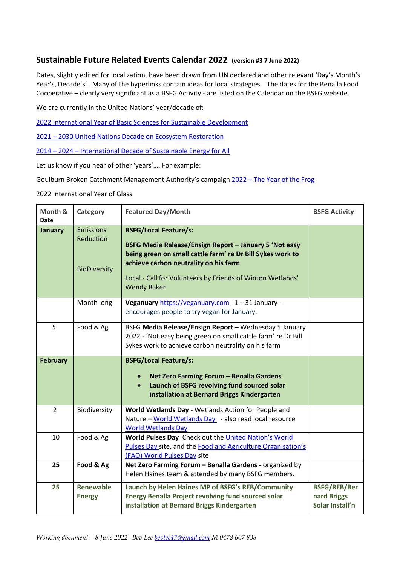## **Sustainable Future Related Events Calendar 2022 (version #3 7 June 2022)**

Dates, slightly edited for localization, have been drawn from UN declared and other relevant 'Day's Month's Year's, Decade's'. Many of the hyperlinks contain ideas for local strategies. The dates for the Benalla Food Cooperative – clearly very significant as a BSFG Activity - are listed on the Calendar on the BSFG website.

We are currently in the United Nations' year/decade of:

[2022 International Year of Basic Sciences for Sustainable Development](https://allea.org/un-proclaims-2022-as-the-international-year-of-basic-sciences-for-sustainable-development/)

2021 – [2030 United Nations Decade on Ecosystem Restoration](https://www.decadeonrestoration.org/)

2014 – 2024 – [International Decade of Sustainable Energy for All](https://www.seforall.org/)

Let us know if you hear of other 'years'…. For example:

Goulburn Broken Catchment Management Authority's campaign 2022 – [The Year of the Frog](https://www.gbcma.vic.gov.au/news_events/frogs-plight-in-focus-this-year.html)

2022 International Year of Glass

| Month &<br><b>Date</b> | Category                                             | <b>Featured Day/Month</b>                                                                                                                                                                                                                                                         | <b>BSFG Activity</b>                                  |
|------------------------|------------------------------------------------------|-----------------------------------------------------------------------------------------------------------------------------------------------------------------------------------------------------------------------------------------------------------------------------------|-------------------------------------------------------|
| <b>January</b>         | <b>Emissions</b><br>Reduction<br><b>BioDiversity</b> | <b>BSFG/Local Feature/s:</b><br>BSFG Media Release/Ensign Report - January 5 'Not easy<br>being green on small cattle farm' re Dr Bill Sykes work to<br>achieve carbon neutrality on his farm<br>Local - Call for Volunteers by Friends of Winton Wetlands'<br><b>Wendy Baker</b> |                                                       |
|                        | Month long                                           | Veganuary https://veganuary.com 1-31 January -<br>encourages people to try vegan for January.                                                                                                                                                                                     |                                                       |
| 5                      | Food & Ag                                            | BSFG Media Release/Ensign Report - Wednesday 5 January<br>2022 - 'Not easy being green on small cattle farm' re Dr Bill<br>Sykes work to achieve carbon neutrality on his farm                                                                                                    |                                                       |
| <b>February</b>        |                                                      | <b>BSFG/Local Feature/s:</b><br>Net Zero Farming Forum - Benalla Gardens<br>$\bullet$<br>Launch of BSFG revolving fund sourced solar<br>installation at Bernard Briggs Kindergarten                                                                                               |                                                       |
| $\overline{2}$         | Biodiversity                                         | World Wetlands Day - Wetlands Action for People and<br>Nature - World Wetlands Day - also read local resource<br><b>World Wetlands Day</b>                                                                                                                                        |                                                       |
| 10                     | Food & Ag                                            | World Pulses Day Check out the United Nation's World<br>Pulses Day site, and the Food and Agriculture Organisation's<br>(FAO) World Pulses Day site                                                                                                                               |                                                       |
| 25                     | Food & Ag                                            | Net Zero Farming Forum - Benalla Gardens - organized by<br>Helen Haines team & attended by many BSFG members.                                                                                                                                                                     |                                                       |
| 25                     | <b>Renewable</b><br><b>Energy</b>                    | Launch by Helen Haines MP of BSFG's REB/Community<br><b>Energy Benalla Project revolving fund sourced solar</b><br>installation at Bernard Briggs Kindergarten                                                                                                                    | <b>BSFG/REB/Ber</b><br>nard Briggs<br>Solar Install'n |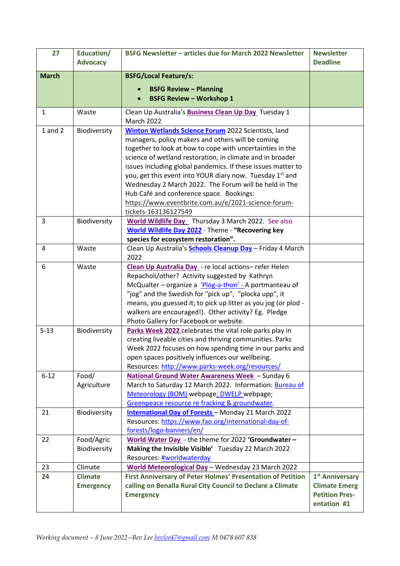| 27           | Education/       | BSFG Newsletter - articles due for March 2022 Newsletter                                                | <b>Newsletter</b>           |
|--------------|------------------|---------------------------------------------------------------------------------------------------------|-----------------------------|
|              | <b>Advocacy</b>  |                                                                                                         | <b>Deadline</b>             |
| <b>March</b> |                  | <b>BSFG/Local Feature/s:</b>                                                                            |                             |
|              |                  |                                                                                                         |                             |
|              |                  | <b>BSFG Review - Planning</b>                                                                           |                             |
|              |                  | <b>BSFG Review - Workshop 1</b>                                                                         |                             |
| $\mathbf{1}$ | Waste            | Clean Up Australia's <b>Business Clean Up Day</b> Tuesday 1                                             |                             |
|              |                  | <b>March 2022</b>                                                                                       |                             |
| $1$ and $2$  | Biodiversity     | <b>Winton Wetlands Science Forum 2022 Scientists, land</b>                                              |                             |
|              |                  | managers, policy makers and others will be coming                                                       |                             |
|              |                  | together to look at how to cope with uncertainties in the                                               |                             |
|              |                  | science of wetland restoration, in climate and in broader                                               |                             |
|              |                  | issues including global pandemics. If these issues matter to                                            |                             |
|              |                  | you, get this event into YOUR diary now. Tuesday 1 <sup>st</sup> and                                    |                             |
|              |                  | Wednesday 2 March 2022. The Forum will be held in The                                                   |                             |
|              |                  | Hub Café and conference space. Bookings:                                                                |                             |
|              |                  | https://www.eventbrite.com.au/e/2021-science-forum-                                                     |                             |
|              |                  | tickets-163136127549                                                                                    |                             |
| 3            | Biodiversity     | World Wildlife Day Thursday 3 March 2022. See also                                                      |                             |
|              |                  | World Wildlife Day 2022 - Theme - "Recovering key                                                       |                             |
|              |                  | species for ecosystem restoration".                                                                     |                             |
| 4            | Waste            | Clean Up Australia's <b>Schools Cleanup Day</b> - Friday 4 March                                        |                             |
| 6            |                  | 2022                                                                                                    |                             |
|              | Waste            | Clean Up Australia Day - re local actions-refer Helen<br>Repacholi/other? Activity suggested by Kathryn |                             |
|              |                  | McQualter - organize a 'Plog-a-thon' - A portmanteau of                                                 |                             |
|              |                  | "jog" and the Swedish for "pick up", "plocka upp", it                                                   |                             |
|              |                  | means, you guessed it; to pick up litter as you jog (or plod -                                          |                             |
|              |                  | walkers are encouraged!). Other activity? Eg. Pledge                                                    |                             |
|              |                  | Photo Gallery for Facebook or website.                                                                  |                             |
| $5 - 13$     | Biodiversity     | Parks Week 2022 celebrates the vital role parks play in                                                 |                             |
|              |                  | creating liveable cities and thriving communities. Parks                                                |                             |
|              |                  | Week 2022 focuses on how spending time in our parks and                                                 |                             |
|              |                  | open spaces positively influences our wellbeing.                                                        |                             |
|              |                  | Resources: http://www.parks-week.org/resources/                                                         |                             |
| $6 - 12$     | Food/            | National Ground Water Awareness Week - Sunday 6                                                         |                             |
|              | Agriculture      | March to Saturday 12 March 2022. Information: Bureau of                                                 |                             |
|              |                  | Meteorology (BOM) webpage; DWELP webpage;                                                               |                             |
|              |                  | Greenpeace resource re fracking & groundwater.                                                          |                             |
| 21           | Biodiversity     | <b>International Day of Forests</b> - Monday 21 March 2022                                              |                             |
|              |                  | Resources: https://www.fao.org/international-day-of-                                                    |                             |
|              |                  | forests/logo-banners/en/                                                                                |                             |
| 22           | Food/Agric       | World Water Day - the theme for 2022 'Groundwater -                                                     |                             |
|              | Biodiversity     | Making the Invisible Visible' Tuesday 22 March 2022                                                     |                             |
|              |                  | Resources: #worldwaterday                                                                               |                             |
| 23           | Climate          | World Meteorological Day - Wednesday 23 March 2022                                                      |                             |
| 24           | <b>Climate</b>   | First Anniversary of Peter Holmes' Presentation of Petition                                             | 1 <sup>st</sup> Anniversary |
|              | <b>Emergency</b> | calling on Benalla Rural City Council to Declare a Climate                                              | <b>Climate Emerg</b>        |
|              |                  | <b>Emergency</b>                                                                                        | <b>Petition Pres-</b>       |
|              |                  |                                                                                                         | entation #1                 |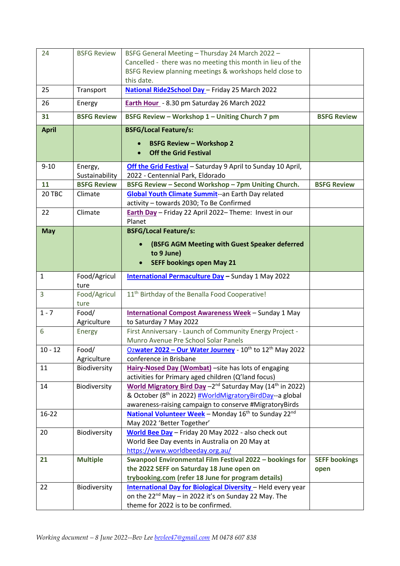| 24           | <b>BSFG Review</b>        | BSFG General Meeting - Thursday 24 March 2022 -<br>Cancelled - there was no meeting this month in lieu of the<br>BSFG Review planning meetings & workshops held close to<br>this date.                               |                              |
|--------------|---------------------------|----------------------------------------------------------------------------------------------------------------------------------------------------------------------------------------------------------------------|------------------------------|
| 25           | Transport                 | National Ride2School Day - Friday 25 March 2022                                                                                                                                                                      |                              |
| 26           | Energy                    | Earth Hour - 8.30 pm Saturday 26 March 2022                                                                                                                                                                          |                              |
| 31           | <b>BSFG Review</b>        | BSFG Review - Workshop 1 - Uniting Church 7 pm                                                                                                                                                                       | <b>BSFG Review</b>           |
| <b>April</b> |                           | <b>BSFG/Local Feature/s:</b><br><b>BSFG Review - Workshop 2</b><br><b>Off the Grid Festival</b>                                                                                                                      |                              |
| $9 - 10$     | Energy,<br>Sustainability | Off the Grid Festival - Saturday 9 April to Sunday 10 April,<br>2022 - Centennial Park, Eldorado                                                                                                                     |                              |
| 11           | <b>BSFG Review</b>        | BSFG Review - Second Workshop - 7pm Uniting Church.                                                                                                                                                                  | <b>BSFG Review</b>           |
| 20 TBC       | Climate                   | <b>Global Youth Climate Summit--an Earth Day related</b><br>activity - towards 2030; To Be Confirmed                                                                                                                 |                              |
| 22           | Climate                   | Earth Day - Friday 22 April 2022- Theme: Invest in our<br>Planet                                                                                                                                                     |                              |
| <b>May</b>   |                           | <b>BSFG/Local Feature/s:</b>                                                                                                                                                                                         |                              |
|              |                           | (BSFG AGM Meeting with Guest Speaker deferred<br>to 9 June)<br><b>SEFF bookings open May 21</b>                                                                                                                      |                              |
| $\mathbf{1}$ | Food/Agricul<br>ture      | <b>International Permaculture Day</b> - Sunday 1 May 2022                                                                                                                                                            |                              |
| 3            | Food/Agricul<br>ture      | 11 <sup>th</sup> Birthday of the Benalla Food Cooperative!                                                                                                                                                           |                              |
| $1 - 7$      | Food/                     | International Compost Awareness Week - Sunday 1 May                                                                                                                                                                  |                              |
|              | Agriculture               | to Saturday 7 May 2022                                                                                                                                                                                               |                              |
| 6            | Energy                    | First Anniversary - Launch of Community Energy Project -<br>Munro Avenue Pre School Solar Panels                                                                                                                     |                              |
| $10 - 12$    | Food/                     | Ozwater 2022 - Our Water Journey - 10th to 12th May 2022                                                                                                                                                             |                              |
|              | Agriculture               | conference in Brisbane                                                                                                                                                                                               |                              |
| 11           | Biodiversity              | Hairy-Nosed Day (Wombat) - site has lots of engaging<br>activities for Primary aged children (Q'land focus)                                                                                                          |                              |
| 14           | Biodiversity              | World Migratory Bird Day - 2 <sup>nd</sup> Saturday May (14 <sup>th</sup> in 2022)<br>& October (8 <sup>th</sup> in 2022) #WorldMigratoryBirdDay--a global<br>awareness-raising campaign to conserve #MigratoryBirds |                              |
| 16-22        |                           | National Volunteer Week - Monday 16 <sup>th</sup> to Sunday 22 <sup>nd</sup><br>May 2022 'Better Together'                                                                                                           |                              |
| 20           | Biodiversity              | World Bee Day - Friday 20 May 2022 - also check out<br>World Bee Day events in Australia on 20 May at<br>https://www.worldbeeday.org.au/                                                                             |                              |
| 21           | <b>Multiple</b>           | Swanpool Environmental Film Festival 2022 - bookings for<br>the 2022 SEFF on Saturday 18 June open on<br>trybooking.com (refer 18 June for program details)                                                          | <b>SEFF bookings</b><br>open |
| 22           | Biodiversity              | <b>International Day for Biological Diversity</b> - Held every year<br>on the 22 <sup>nd</sup> May - in 2022 it's on Sunday 22 May. The<br>theme for 2022 is to be confirmed.                                        |                              |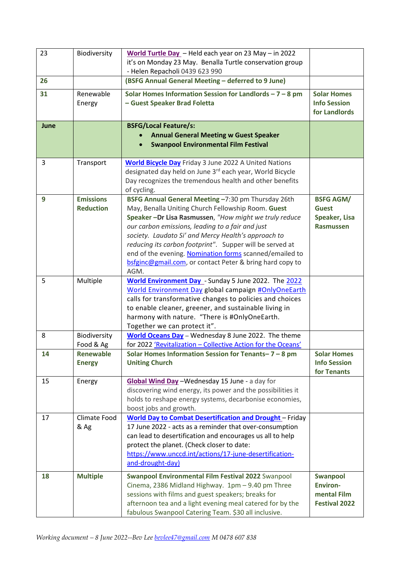| 23   | Biodiversity           | World Turtle Day - Held each year on 23 May - in 2022<br>it's on Monday 23 May. Benalla Turtle conservation group  |                                    |
|------|------------------------|--------------------------------------------------------------------------------------------------------------------|------------------------------------|
|      |                        | - Helen Repacholi 0439 623 990                                                                                     |                                    |
| 26   |                        | (BSFG Annual General Meeting - deferred to 9 June)                                                                 |                                    |
| 31   | Renewable              | Solar Homes Information Session for Landlords $-7 - 8$ pm                                                          | <b>Solar Homes</b>                 |
|      | Energy                 | - Guest Speaker Brad Foletta                                                                                       | <b>Info Session</b>                |
|      |                        |                                                                                                                    | for Landlords                      |
| June |                        | <b>BSFG/Local Feature/s:</b>                                                                                       |                                    |
|      |                        | <b>Annual General Meeting w Guest Speaker</b>                                                                      |                                    |
|      |                        | <b>Swanpool Environmental Film Festival</b>                                                                        |                                    |
| 3    | Transport              | <b>World Bicycle Day</b> Friday 3 June 2022 A United Nations                                                       |                                    |
|      |                        | designated day held on June 3rd each year, World Bicycle                                                           |                                    |
|      |                        | Day recognizes the tremendous health and other benefits                                                            |                                    |
|      |                        | of cycling.                                                                                                        |                                    |
| 9    | <b>Emissions</b>       | BSFG Annual General Meeting -7:30 pm Thursday 26th                                                                 | <b>BSFG AGM/</b>                   |
|      | <b>Reduction</b>       | May, Benalla Uniting Church Fellowship Room. Guest                                                                 | <b>Guest</b>                       |
|      |                        | Speaker -Dr Lisa Rasmussen, "How might we truly reduce                                                             | Speaker, Lisa                      |
|      |                        | our carbon emissions, leading to a fair and just                                                                   | <b>Rasmussen</b>                   |
|      |                        | society. Laudato Si' and Mercy Health's approach to<br>reducing its carbon footprint". Supper will be served at    |                                    |
|      |                        | end of the evening. Nomination forms scanned/emailed to                                                            |                                    |
|      |                        | bsfginc@gmail.com, or contact Peter & bring hard copy to                                                           |                                    |
|      |                        | AGM.                                                                                                               |                                    |
| 5    | Multiple               | World Environment Day - Sunday 5 June 2022. The 2022                                                               |                                    |
|      |                        | World Environment Day global campaign #OnlyOneEarth                                                                |                                    |
|      |                        | calls for transformative changes to policies and choices                                                           |                                    |
|      |                        | to enable cleaner, greener, and sustainable living in                                                              |                                    |
|      |                        | harmony with nature. "There is #OnlyOneEarth.                                                                      |                                    |
|      |                        | Together we can protect it".                                                                                       |                                    |
| 8    | Biodiversity           | World Oceans Day - Wednesday 8 June 2022. The theme                                                                |                                    |
| 14   | Food & Ag<br>Renewable | for 2022 'Revitalization - Collective Action for the Oceans'<br>Solar Homes Information Session for Tenants-7-8 pm | <b>Solar Homes</b>                 |
|      | <b>Energy</b>          | <b>Uniting Church</b>                                                                                              | <b>Info Session</b>                |
|      |                        |                                                                                                                    | for Tenants                        |
| 15   | Energy                 | Global Wind Day - Wednesday 15 June - a day for                                                                    |                                    |
|      |                        | discovering wind energy, its power and the possibilities it                                                        |                                    |
|      |                        | holds to reshape energy systems, decarbonise economies,                                                            |                                    |
|      |                        | boost jobs and growth.                                                                                             |                                    |
| 17   | Climate Food           | <b>World Day to Combat Desertification and Drought</b> - Friday                                                    |                                    |
|      | & Ag                   | 17 June 2022 - acts as a reminder that over-consumption                                                            |                                    |
|      |                        | can lead to desertification and encourages us all to help<br>protect the planet. (Check closer to date:            |                                    |
|      |                        | https://www.unccd.int/actions/17-june-desertification-                                                             |                                    |
|      |                        | and-drought-day)                                                                                                   |                                    |
|      |                        |                                                                                                                    |                                    |
| 18   | <b>Multiple</b>        | Swanpool Environmental Film Festival 2022 Swanpool                                                                 | <b>Swanpool</b><br><b>Environ-</b> |
|      |                        | Cinema, 2386 Midland Highway. 1pm - 9.40 pm Three<br>sessions with films and guest speakers; breaks for            | mental Film                        |
|      |                        | afternoon tea and a light evening meal catered for by the                                                          | <b>Festival 2022</b>               |
|      |                        | fabulous Swanpool Catering Team. \$30 all inclusive.                                                               |                                    |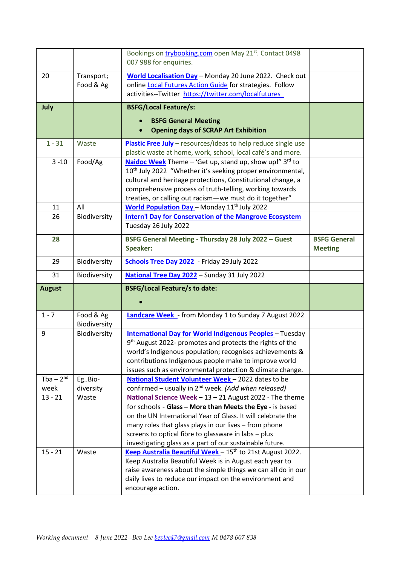|                          |                           | Bookings on trybooking.com open May 21st. Contact 0498<br>007 988 for enquiries.                                                                                                                                                                                                                                                                                                                                                          |                                       |
|--------------------------|---------------------------|-------------------------------------------------------------------------------------------------------------------------------------------------------------------------------------------------------------------------------------------------------------------------------------------------------------------------------------------------------------------------------------------------------------------------------------------|---------------------------------------|
| 20                       | Transport;<br>Food & Ag   | World Localisation Day - Monday 20 June 2022. Check out<br>online Local Futures Action Guide for strategies. Follow<br>activities--Twitter https://twitter.com/localfutures                                                                                                                                                                                                                                                               |                                       |
| July                     |                           | <b>BSFG/Local Feature/s:</b><br><b>BSFG General Meeting</b><br><b>Opening days of SCRAP Art Exhibition</b>                                                                                                                                                                                                                                                                                                                                |                                       |
| $1 - 31$                 | Waste                     | Plastic Free July - resources/ideas to help reduce single use<br>plastic waste at home, work, school, local café's and more.                                                                                                                                                                                                                                                                                                              |                                       |
| $3 - 10$                 | Food/Ag                   | Naidoc Week Theme - 'Get up, stand up, show up!" 3rd to<br>10 <sup>th</sup> July 2022 "Whether it's seeking proper environmental,<br>cultural and heritage protections, Constitutional change, a<br>comprehensive process of truth-telling, working towards<br>treaties, or calling out racism-we must do it together"                                                                                                                    |                                       |
| 11                       | All                       | World Population Day - Monday 11 <sup>th</sup> July 2022                                                                                                                                                                                                                                                                                                                                                                                  |                                       |
| 26                       | Biodiversity              | <b>Intern'l Day for Conservation of the Mangrove Ecosystem</b><br>Tuesday 26 July 2022                                                                                                                                                                                                                                                                                                                                                    |                                       |
| 28                       |                           | BSFG General Meeting - Thursday 28 July 2022 - Guest<br><b>Speaker:</b>                                                                                                                                                                                                                                                                                                                                                                   | <b>BSFG General</b><br><b>Meeting</b> |
| 29                       | Biodiversity              | Schools Tree Day 2022 - Friday 29 July 2022                                                                                                                                                                                                                                                                                                                                                                                               |                                       |
| 31                       | Biodiversity              | National Tree Day 2022 - Sunday 31 July 2022                                                                                                                                                                                                                                                                                                                                                                                              |                                       |
| <b>August</b>            |                           | <b>BSFG/Local Feature/s to date:</b>                                                                                                                                                                                                                                                                                                                                                                                                      |                                       |
|                          |                           |                                                                                                                                                                                                                                                                                                                                                                                                                                           |                                       |
| $1 - 7$                  | Food & Ag<br>Biodiversity | <b>Landcare Week</b> - from Monday 1 to Sunday 7 August 2022                                                                                                                                                                                                                                                                                                                                                                              |                                       |
| 9                        | Biodiversity              | <b>International Day for World Indigenous Peoples - Tuesday</b><br>9 <sup>th</sup> August 2022- promotes and protects the rights of the<br>world's Indigenous population; recognises achievements &<br>contributions Indigenous people make to improve world<br>issues such as environmental protection & climate change.                                                                                                                 |                                       |
| Tba $-2^{n\overline{d}}$ | EgBio-                    | National Student Volunteer Week - 2022 dates to be                                                                                                                                                                                                                                                                                                                                                                                        |                                       |
| week                     | diversity                 | confirmed - usually in 2 <sup>nd</sup> week. (Add when released)                                                                                                                                                                                                                                                                                                                                                                          |                                       |
| $13 - 21$<br>$15 - 21$   | Waste<br>Waste            | National Science Week - 13 - 21 August 2022 - The theme<br>for schools - Glass - More than Meets the Eye - is based<br>on the UN International Year of Glass. It will celebrate the<br>many roles that glass plays in our lives - from phone<br>screens to optical fibre to glassware in labs - plus<br>investigating glass as a part of our sustainable future.<br>Keep Australia Beautiful Week - 15 <sup>th</sup> to 21st August 2022. |                                       |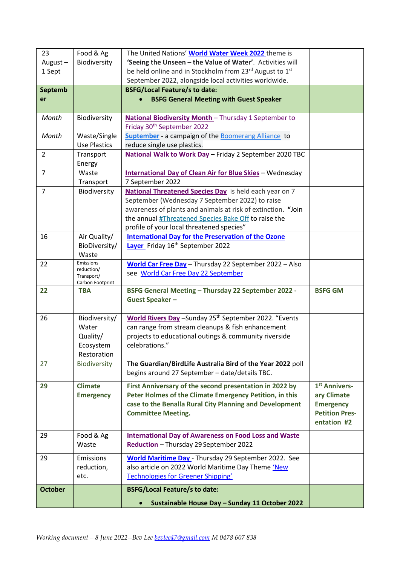| 23             | Food & Ag               | The United Nations' World Water Week 2022 theme is                 |                                           |
|----------------|-------------------------|--------------------------------------------------------------------|-------------------------------------------|
| August-        | Biodiversity            | 'Seeing the Unseen - the Value of Water'. Activities will          |                                           |
| 1 Sept         |                         | be held online and in Stockholm from 23rd August to 1st            |                                           |
|                |                         | September 2022, alongside local activities worldwide.              |                                           |
| <b>Septemb</b> |                         | <b>BSFG/Local Feature/s to date:</b>                               |                                           |
| er             |                         | <b>BSFG General Meeting with Guest Speaker</b>                     |                                           |
|                |                         |                                                                    |                                           |
| Month          | Biodiversity            | National Biodiversity Month - Thursday 1 September to              |                                           |
|                |                         | Friday 30 <sup>th</sup> September 2022                             |                                           |
| Month          | Waste/Single            | Suptember - a campaign of the Boomerang Alliance to                |                                           |
|                | <b>Use Plastics</b>     | reduce single use plastics.                                        |                                           |
| $\overline{2}$ | Transport               | National Walk to Work Day - Friday 2 September 2020 TBC            |                                           |
|                | Energy                  |                                                                    |                                           |
| $\overline{7}$ | Waste                   | <b>International Day of Clean Air for Blue Skies - Wednesday</b>   |                                           |
|                | Transport               | 7 September 2022                                                   |                                           |
| $\overline{7}$ | Biodiversity            | National Threatened Species Day is held each year on 7             |                                           |
|                |                         | September (Wednesday 7 September 2022) to raise                    |                                           |
|                |                         | awareness of plants and animals at risk of extinction. "Join       |                                           |
|                |                         | the annual #Threatened Species Bake Off to raise the               |                                           |
|                |                         | profile of your local threatened species"                          |                                           |
| 16             | Air Quality/            | <b>International Day for the Preservation of the Ozone</b>         |                                           |
|                | BioDiversity/           | Layer Friday 16 <sup>th</sup> September 2022                       |                                           |
|                | Waste                   |                                                                    |                                           |
| 22             | Emissions<br>reduction/ | World Car Free Day - Thursday 22 September 2022 - Also             |                                           |
|                | Transport/              | see World Car Free Day 22 September                                |                                           |
|                | Carbon Footprint        |                                                                    |                                           |
| 22             | <b>TBA</b>              | BSFG General Meeting - Thursday 22 September 2022 -                | <b>BSFG GM</b>                            |
|                |                         | <b>Guest Speaker-</b>                                              |                                           |
| 26             | Biodiversity/           | World Rivers Day - Sunday 25 <sup>th</sup> September 2022. "Events |                                           |
|                | Water                   | can range from stream cleanups & fish enhancement                  |                                           |
|                | Quality/                | projects to educational outings & community riverside              |                                           |
|                | Ecosystem               | celebrations."                                                     |                                           |
|                | Restoration             |                                                                    |                                           |
| 27             | <b>Biodiversity</b>     | The Guardian/BirdLife Australia Bird of the Year 2022 poll         |                                           |
|                |                         | begins around 27 September - date/details TBC.                     |                                           |
|                |                         |                                                                    |                                           |
| 29             | <b>Climate</b>          | First Anniversary of the second presentation in 2022 by            | 1 <sup>st</sup> Annivers-                 |
|                | <b>Emergency</b>        | Peter Holmes of the Climate Emergency Petition, in this            | ary Climate                               |
|                |                         | case to the Benalla Rural City Planning and Development            | <b>Emergency</b><br><b>Petition Pres-</b> |
|                |                         | <b>Committee Meeting.</b>                                          | entation #2                               |
|                |                         |                                                                    |                                           |
| 29             | Food & Ag               | <b>International Day of Awareness on Food Loss and Waste</b>       |                                           |
|                | Waste                   | Reduction - Thursday 29 September 2022                             |                                           |
| 29             | Emissions               | <b>World Maritime Day</b> - Thursday 29 September 2022. See        |                                           |
|                | reduction,              | also article on 2022 World Maritime Day Theme 'New                 |                                           |
|                | etc.                    | <b>Technologies for Greener Shipping'</b>                          |                                           |
|                |                         |                                                                    |                                           |
| <b>October</b> |                         | <b>BSFG/Local Feature/s to date:</b>                               |                                           |
|                |                         | Sustainable House Day - Sunday 11 October 2022                     |                                           |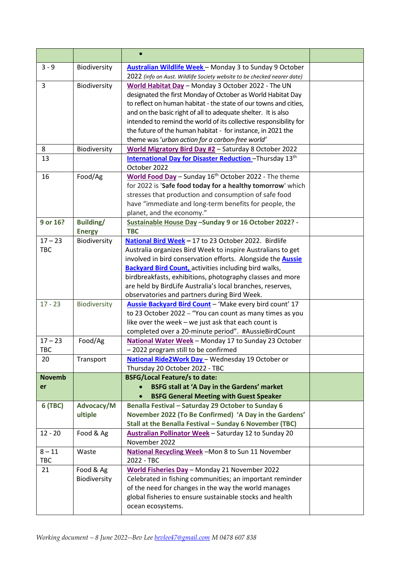| $3 - 9$                | Biodiversity     | <b>Australian Wildlife Week</b> - Monday 3 to Sunday 9 October                                               |  |
|------------------------|------------------|--------------------------------------------------------------------------------------------------------------|--|
|                        |                  | 2022 (info on Aust. Wildlife Society website to be checked nearer date)                                      |  |
| $\overline{3}$         | Biodiversity     | World Habitat Day - Monday 3 October 2022 - The UN                                                           |  |
|                        |                  | designated the first Monday of October as World Habitat Day                                                  |  |
|                        |                  | to reflect on human habitat - the state of our towns and cities,                                             |  |
|                        |                  | and on the basic right of all to adequate shelter. It is also                                                |  |
|                        |                  | intended to remind the world of its collective responsibility for                                            |  |
|                        |                  | the future of the human habitat - for instance, in 2021 the                                                  |  |
|                        |                  | theme was 'urban action for a carbon-free world'                                                             |  |
| 8                      | Biodiversity     | World Migratory Bird Day #2 - Saturday 8 October 2022                                                        |  |
| 13                     |                  | <b>International Day for Disaster Reduction</b> -Thursday 13 <sup>th</sup><br>October 2022                   |  |
| 16                     | Food/Ag          | World Food Day - Sunday 16 <sup>th</sup> October 2022 - The theme                                            |  |
|                        |                  | for 2022 is 'Safe food today for a healthy tomorrow' which                                                   |  |
|                        |                  | stresses that production and consumption of safe food                                                        |  |
|                        |                  | have "immediate and long-term benefits for people, the                                                       |  |
|                        |                  | planet, and the economy."                                                                                    |  |
| 9 or 16?               | <b>Building/</b> | Sustainable House Day -Sunday 9 or 16 October 2022? -                                                        |  |
|                        | <b>Energy</b>    | <b>TBC</b>                                                                                                   |  |
| $17 - 23$              | Biodiversity     | National Bird Week - 17 to 23 October 2022. Birdlife                                                         |  |
| <b>TBC</b>             |                  | Australia organizes Bird Week to inspire Australians to get                                                  |  |
|                        |                  | involved in bird conservation efforts. Alongside the Aussie                                                  |  |
|                        |                  | <b>Backyard Bird Count, activities including bird walks,</b>                                                 |  |
|                        |                  | birdbreakfasts, exhibitions, photography classes and more                                                    |  |
|                        |                  | are held by BirdLife Australia's local branches, reserves,                                                   |  |
|                        |                  | observatories and partners during Bird Week.                                                                 |  |
| $17 - 23$              | Biodiversity     | Aussie Backyard Bird Count - 'Make every bird count' 17                                                      |  |
|                        |                  | to 23 October 2022 - "You can count as many times as you                                                     |  |
|                        |                  | like over the week - we just ask that each count is                                                          |  |
| $17 - 23$              | Food/Ag          | completed over a 20-minute period". #AussieBirdCount<br>National Water Week - Monday 17 to Sunday 23 October |  |
| <b>TBC</b>             |                  | 2022 program still to be confirmed                                                                           |  |
| 20                     | Transport        | National Ride2Work Day - Wednesday 19 October or                                                             |  |
|                        |                  | Thursday 20 October 2022 - TBC                                                                               |  |
| <b>Novemb</b>          |                  | <b>BSFG/Local Feature/s to date:</b>                                                                         |  |
| er                     |                  | <b>BSFG stall at 'A Day in the Gardens' market</b>                                                           |  |
|                        |                  | <b>BSFG General Meeting with Guest Speaker</b>                                                               |  |
| 6 (TBC)                | Advocacy/M       | Benalla Festival - Saturday 29 October to Sunday 6                                                           |  |
|                        | ultiple          | November 2022 (To Be Confirmed) 'A Day in the Gardens'                                                       |  |
|                        |                  | Stall at the Benalla Festival - Sunday 6 November (TBC)                                                      |  |
| $12 - 20$              | Food & Ag        | Australian Pollinator Week - Saturday 12 to Sunday 20                                                        |  |
|                        |                  | November 2022                                                                                                |  |
| $8 - 11$<br><b>TBC</b> | Waste            | National Recycling Week - Mon 8 to Sun 11 November<br>2022 - TBC                                             |  |
| 21                     | Food & Ag        | World Fisheries Day - Monday 21 November 2022                                                                |  |
|                        | Biodiversity     | Celebrated in fishing communities; an important reminder                                                     |  |
|                        |                  | of the need for changes in the way the world manages                                                         |  |
|                        |                  | global fisheries to ensure sustainable stocks and health                                                     |  |
|                        |                  | ocean ecosystems.                                                                                            |  |
|                        |                  |                                                                                                              |  |